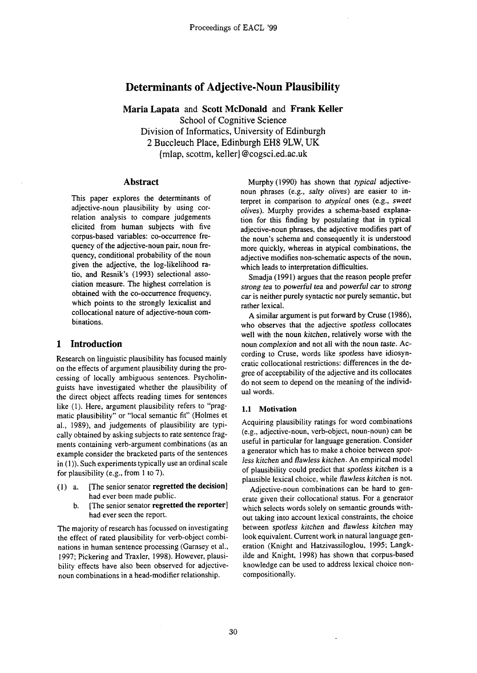# **Determinants of Adjective-Noun Plausibility**

**Maria Lapata and Scott McDonald and Frank Keller** 

School of Cognitive Science

Division of Informatics, University of Edinburgh

2 Buccleuch Place, Edinburgh EH8 9LW, UK

{mlap, scottm, keller} @cogsci.ed.ac.uk

# **Abstract**

This paper explores the determinants of adjective-noun plausibility by using correlation analysis to compare judgements elicited from human subjects with five corpus-based variables: co-occurrence frequency of the adjective-noun pair, noun frequency, conditional probability of the noun given the adjective, the log-likelihood ratio, and Resnik's (1993) selectional association measure. The highest correlation is obtained with the co-occurrence frequency, which points to the strongly lexicalist and collocational nature of adjective-noun combinations.

# **1 Introduction**

Research on linguistic plausibility has focused mainly on the effects of argument plausibility during the processing of locally ambiguous sentences. Psycholinguists have investigated whether the plausibility of the direct object affects reading times for sentences like (1). Here, argument plausibility refers to "pragmatic plausibility" or "local semantic fit" (Holmes et al., 1989), and judgements of plausibility are typically obtained by asking subjects to rate sentence fragments containing verb-argument combinations (as an example consider the bracketed parts of the sentences in (1)). Such experiments typically use an ordinal scale for plausibility (e.g., from 1 to 7).

- (1) a. [The senior senator regretted the **decision]**  had ever been made public.
	- b. [The senior senator regretted the **reporter]**  had ever seen the report.

The majority of research has focussed on investigating the effect of rated plausibility for verb-object combinations in human sentence processing (Garnsey et al., 1997; Pickering and Traxler, 1998). However, plausibility effects have also been observed for adjectivenoun combinations in a head-modifier relationship.

Murphy (1990) has shown that *typical* adjectivenoun phrases (e.g., *salty olives) are* easier to interpret in comparison to *atypical* ones (e.g., *sweet olives).* Murphy provides a schema-based explanation for this finding by postulating that in typical adjective-noun phrases, the adjective modifies part of the noun's schema and consequently it is understood more quickly, whereas in atypical combinations, the adjective modifies non-schematic aspects of the noun, which leads to interpretation difficulties.

Smadja (1991) argues that the reason people prefer *strong tea* to *powerful* tea and *powerful car* to *strong*  car is neither purely syntactic nor purely semantic, but rather lexical.

A similar argument is put forward by Cruse (1986), who observes that the adjective *spotless* collocates well with the noun *kitchen,* relatively worse with the noun *complexion* and not all with the noun *taste.* According to Cruse, words like *spotless* have idiosyncratic collocational restrictions: differences in the degree of acceptability of the adjective and its collocates do not seem to depend on the meaning of the individual words.

# 1.1 **Motivation**

Acquiring plausibility ratings for word combinations (e.g., adjective-noun, verb-object, noun-noun) can be useful in particular for language generation. Consider a generator which has to make a choice between *spotless kitchen* and *flawless kitchen.* An empirical model of plausibility could predict that *spotless kitchen* is a plausible lexical choice, while *flawless kitchen* is not.

Adjective-noun combinations can be hard to generate given their collocational status. For a generator which selects words solely on semantic grounds without taking into account lexical constraints, the choice between *spotless kitchen* and *flawless kitchen* may look equivalent. Current work in natural language generation (Knight and Hatzivassiloglou, 1995; Langkilde and Knight, 1998) has shown that corpus-based knowledge can be used to address lexical choice noncompositionally.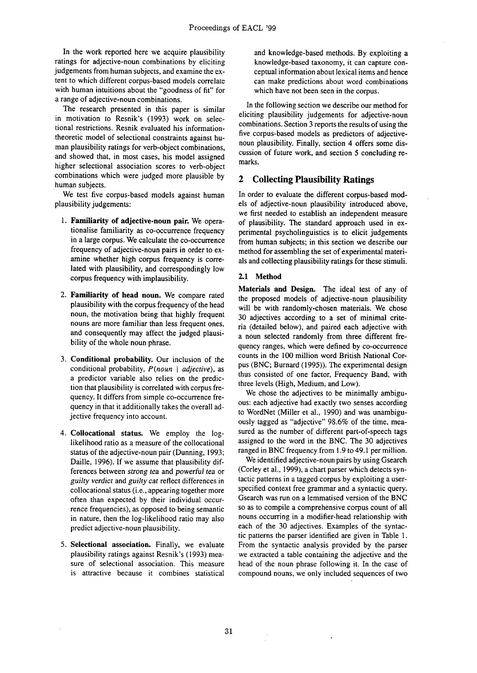In the work reported here we acquire plausibility ratings for adjective-noun combinations by eliciting judgements from human subjects, and examine the extent to which different corpus-based models correlate with human intuitions about the "goodness of fit" for a range of adjective-noun combinations.

The research presented in this paper is similar in motivation to Resnik's (1993) work on selectional restrictions. Resnik evaluated his informationtheoretic model of selectional constraints against human plausibility ratings for verb-object combinations, and showed that, in most cases, his model assigned higher selectional association scores to verb-object combinations which were judged more plausible by human subjects.

We test five corpus-based models against human plausibility judgements:

- 1. Familiarity **of adjective-noun pair.** We operationalise familiarity as co-occurrence frequency in a large corpus. We calculate the co-occurrence frequency of adjective-noun pairs in order to examine whether high corpus frequency is correlated with plausibility, and correspondingly low corpus frequency with implausibility.
- 2. Familiarity **of head noun.** We compare rated plausibility with the corpus frequency of the head noun, the motivation being that highly frequent nouns are more familiar than less frequent ones, and consequently may affect the judged plausibility of the whole noun phrase.
- 3. Conditional probability. Our inclusion of the conditional probability,  $P(noun | adjective)$ , as a predictor variable also relies on the prediction that plausibility is correlated with corpus frequency. It differs from simple co-occurrence frequency in that it additionally takes the overall adjective frequency into account.
- 4. Coliocational status. We employ the loglikelihood ratio as a measure of the collocational status of the adjective-noun pair (Dunning, 1993; Daille, 1996). If we assume that plausibility differences between *strong* tea and *powerful* tea or *guilty verdict* and *guilty cat* reflect differences in collocational status (i.e., appearing together more often than expected by their individual occurrence frequencies), as opposed to being semantic in nature, then the log-likelihood ratio may also predict adjective-noun plausibility.
- 5. **Selectional association.** Finally, we evaluate plausibility ratings against Resnik's (1993) measure of selectional association. This measure is attractive because it combines statistical

and knowledge-based methods. By exploiting a knowledge-based taxonomy, it can capture conceptual information about lexical items and hence can make predictions about word combinations which have not been seen in the corpus.

In the following section we describe our method for eliciting plausibility judgements for adjective-noun combinations. Section 3 reports the results of using the five corpus-based models as predictors of adjectivenoun plausibility. Finally, section 4 offers some discussion of future work, and section 5 concluding remarks.

# **2 Collecting Plausibility Ratings**

In order to evaluate the different corpus-based models of adjective-noun plausibility introduced above, we first needed to establish an independent measure of plausibility. The standard approach used in experimental psycholinguistics is to elicit judgements from human subjects; in this section we describe our method for assembling the set of experimental materials and collecting plausibility ratings for these stimuli.

### **2.1 Method**

**Materials and Design.** The ideal test of any of the proposed models of adjective-noun plausibility will be with randomly-chosen materials. We chose 30 adjectives according to a set of minimal criteria (detailed below), and paired each adjective with a noun selected randomly from three different frequency ranges, which were defined by co-occurrence counts in the 100 million word British National Corpus (BNC; Burnard (1995)). The experimental design thus consisted of one factor, Frequency Band, with three levels (High, Medium, and Low).

We chose the adjectives to be minimally ambiguous: each adjective had exactly two senses according to WordNet (Miller et al., 1990) and was unambiguously tagged as "adjective" 98.6% of the time, measured as the number of different part-of-speech tags assigned to the word in the BNC. The 30 adjectives ranged in BNC frequency from 1.9 to 49.1 per million.

We identified adjective-noun pairs by using Gsearch (Corley et al., 1999), a chart parser which detects syntactic patterns in a tagged corpus by exploiting a userspecified context free grammar and a syntactic query. Gsearch was run on a lemmatised version of the BNC so as to compile a comprehensive corpus count of all nouns occurring in a modifier-head relationship with each of the 30 adjectives. Examples of the syntactic patterns the parser identified are given in Table 1. From the syntactic analysis provided by the parser we extracted a table containing the adjective and the head of the noun phrase following it. In the case of compound nouns, we only included sequences of two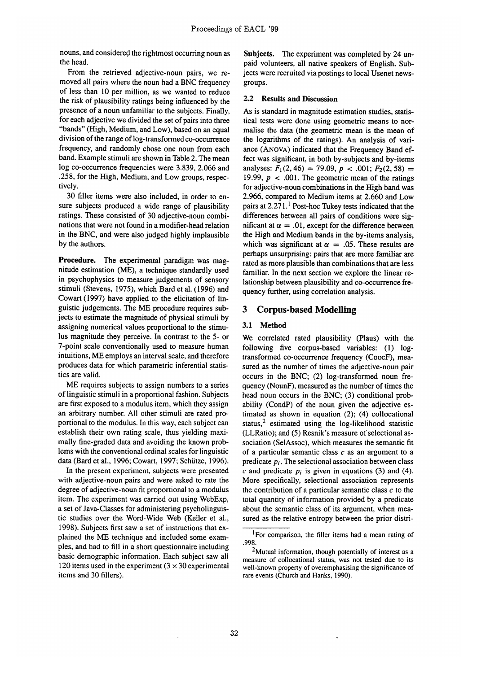nouns, and considered the rightmost occurring noun as the head.

From the retrieved adjective-noun pairs, we removed all pairs where the noun had a BNC frequency of less than 10 per million, as we wanted to reduce the risk of plausibility ratings being influenced by the presence of a noun unfamiliar to the subjects. Finally, for each adjective we divided the set of pairs into three "bands" (High, Medium, and Low), based on an equal division of the range of log-transformed co-occurrence frequency, and randomly chose one noun from each band. Example stimuli are shown in Table 2. The mean log co-occurrence frequencies were 3.839, 2.066 and .258, for the High, Medium, and Low groups, respectively.

30 filler items were also included, in order to ensure subjects produced a wide range of plausibility ratings. These consisted of 30 adjective-noun combinations that were not found in a modifier-head relation in the BNC, and were also judged highly implausible by the authors.

**Procedure.** The experimental paradigm was magnitude estimation (ME), a technique standardly used in psychophysics to measure judgements of sensory stimuli (Stevens, 1975), which Bard et al. (1996) and Cowart (1997) have applied to the elicitation of linguistic judgements. The ME procedure requires subjects to estimate the magnitude of physical stimuli by assigning numerical values proportional to the stimulus magnitude they perceive. In contrast to the 5- or 7-point scale conventionally used to measure human intuitions, ME employs an interval scale, and therefore produces data for which parametric inferential statistics are valid.

ME requires subjects to assign numbers to a series of linguistic stimuli in a proportional fashion. Subjects are first exposed to a modulus item, which they assign an arbitrary number. All other stimuli are rated proportional to the modulus. In this way, each subject can establish their own rating scale, thus yielding maximally fine-graded data and avoiding the known problems with the conventional ordinal scales for linguistic data (Bard et al., 1996; Cowart, 1997; Schütze, 1996).

In the present experiment, subjects were presented with adjective-noun pairs and were asked to rate the degree of adjective-noun fit proportional to a modulus item. The experiment was carried out using WebExp, a set of Java-Classes for administering psycholinguistic studies over the Word-Wide Web (Keller et al., 1998). Subjects first saw a set of instructions that explained the ME technique and included some exampies, and had to fill in a short questionnaire including basic demographic information. Each subject saw all 120 items used in the experiment  $(3 \times 30)$  experimental items and 30 fillers).

Subjects. The experiment was completed by 24 unpaid volunteers, all native speakers of English. Subjects were recruited via postings to local Usenet newsgroups.

#### **2.2 Results and Discussion**

As is standard in magnitude estimation studies, statistical tests were done using geometric means to normalise the data (the geometric mean is the mean of the logarithms of the ratings). An analysis of variance (ANOVA) indicated that the Frequency Band effect was significant, in both by-subjects and by-items analyses:  $F_1(2, 46) = 79.09$ ,  $p < .001$ ;  $F_2(2, 58) =$ 19.99,  $p < .001$ . The geometric mean of the ratings for adjective-noun combinations in the High band was 2.966, compared to Medium items at 2.660 and Low pairs at  $2.271$ .<sup>1</sup> Post-hoc Tukey tests indicated that the differences between all pairs of conditions were significant at  $\alpha = .01$ , except for the difference between the High and Medium bands in the by-items analysis, which was significant at  $\alpha = .05$ . These results are perhaps unsurprising: pairs that are more familiar are rated as more plausible than combinations that are less familiar. In the next section we explore the linear relationship between plausibility and co-occurrence frequency further, using correlation analysis.

# **3 Corpus-based Modelling**

#### **3.1 Method**

We correlated rated plausibility (Plaus) with the following five corpus-based variables: (1) logtransformed co-occurrence frequency (CoocF), measured as the number of times the adjective-noun pair occurs in the BNC; (2) log-transformed noun frequency (NounF), measured as the number of times the head noun occurs in the BNC; (3) conditional probability (CondP) of the noun given the adjective estimated as shown in equation (2); (4) collocational status, $2$  estimated using the log-likelihood statistic (LLRatio); and (5) Resnik's measure of selectional association (SelAssoc), which measures the semantic fit of a particular semantic class  $c$  as an argument to a predicate *pi.* The selectional association between class c and predicate  $p_i$  is given in equations (3) and (4). More specifically, selectional association represents the contribution of a particular semantic class  $c$  to the total quantity of information provided by a predicate about the semantic class of its argument, when measured as the relative entropy between the prior distri-

<sup>&</sup>lt;sup>1</sup> For comparison, the filler items had a mean rating of .998.

<sup>&</sup>lt;sup>2</sup>Mutual information, though potentially of interest as a measure of collocational status, was not tested due to its well-known property of overemphasising the significance of rare events (Church and Hanks, 1990).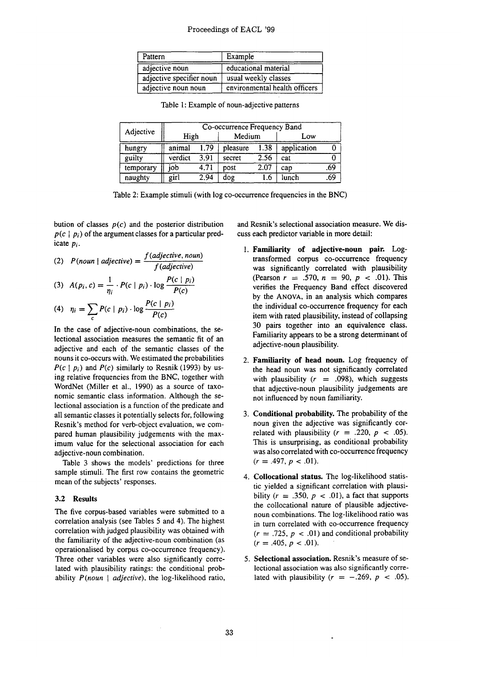# Proceedings of EACL '99

| Pattern                  | Example                       |  |  |
|--------------------------|-------------------------------|--|--|
| adjective noun           | educational material          |  |  |
| adjective specifier noun | usual weekly classes          |  |  |
| adjective noun noun      | environmental health officers |  |  |

| Adjective | Co-occurrence Frequency Band |      |          |      |             |     |
|-----------|------------------------------|------|----------|------|-------------|-----|
|           | High                         |      | Medium   |      | Low         |     |
| hungry    | animal                       | 1.79 | pleasure | 1.38 | application |     |
| guilty    | verdict                      | 3.91 | secret   | 2.56 | cat         |     |
| temporary | iob                          | 4.71 | post     | 2.07 | cap         | .69 |
| naughty   | girl                         | 2.94 | dog      | 1.6  | lunch       | .69 |

Table 1: Example of noun-adjective patterns

Table 2: Example stimuli (with log co-occurrence frequencies in the BNC)

bution of classes *p(c)* and the posterior distribution  $p(c \mid p_i)$  of the argument classes for a particular predicate *Pi.* 

(2) 
$$
P(noun \mid adjective) = \frac{f(adjective, noun)}{f(adjective)}
$$

(3) 
$$
A(p_i, c) = \frac{1}{\eta_i} \cdot P(c | p_i) \cdot \log \frac{P(c | p_i)}{P(c)}
$$

$$
(4) \quad \eta_i = \sum_c P(c \mid p_i) \cdot \log \frac{P(c \mid p_i)}{P(c)}
$$

In the case of adjective-noun combinations, the selectional association measures the semantic fit of an adjective and each of the semantic classes of the nouns it co-occurs with. We estimated the probabilities  $P(c | p_i)$  and  $P(c)$  similarly to Resnik (1993) by using relative frequencies from the BNC, together with WordNet (Miller et al., 1990) as a source of taxonomic semantic class information. Although the selectional association is a function of the predicate and all semantic classes it potentially selects for, following Resnik's method for verb-object evaluation, we compared human plausibility judgements with the maximum value for the selectional association for each adjective-noun combination.

Table 3 shows the models' predictions for three sample stimuli. The first row contains the geometric mean of the subjects' responses.

### **3.2 Results**

The five corpus-based variables were submitted to a correlation analysis (see Tables 5 and 4). The highest correlation with judged plausibility was obtained with the familiarity of the adjective-noun combination (as operationalised by corpus co-occurrence frequency). Three other variables were also significantly correlated with plausibility ratings: the conditional probability *P*(noun | adjective), the log-likelihood ratio, and Resnik's selectional association measure. We discuss each predictor variable in more detail:

- **I. Familiarity of adjective-noun pair.** Logtransformed corpus co-occurrence frequency was significantly correlated with plausibility (Pearson  $r = .570$ ,  $n = 90$ ,  $p < .01$ ). This verifies the Frequency Band effect discovered by the ANOVA, in an analysis which compares the individual co-occurrence frequency for each item with rated plausibility, instead of collapsing 30 pairs together into an equivalence class. Familiarity appears to be a strong determinant of adjective-noun plausibility.
- 2. Familiarity **of head noun.** Log frequency of the head noun was not significantly correlated with plausibility  $(r = .098)$ , which suggests that adjective-noun plausibility judgements are not influenced by noun familiarity.
- 3. Conditional probability. The probability of the noun given the adjective was significantly correlated with plausibility  $(r = .220, p < .05)$ . This is unsurprising, as conditional probability was also correlated with co-occurrence frequency  $(r = .497, p < .01).$
- 4. Collocational status. The log-likelihood statistic yielded a significant correlation with plausibility  $(r = .350, p < .01)$ , a fact that supports the collocational nature of plausible adjectivenoun combinations. The log-likelihood ratio was in turn correlated with co-occurrence frequency  $(r = .725, p < .01)$  and conditional probability  $(r = .405, p < .01).$
- 5. Selectional association. Resnik's measure of selectional association was also significantly correlated with plausibility  $(r = -.269, p < .05)$ .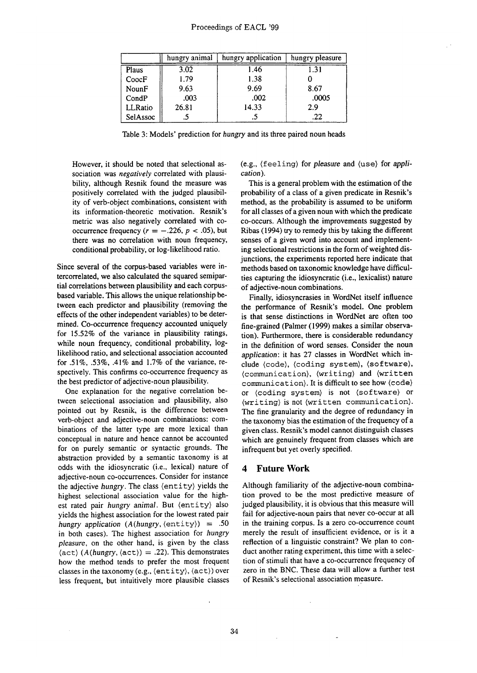|          | hungry animal | hungry application | hungry pleasure |
|----------|---------------|--------------------|-----------------|
| Plaus    | 3.02          | 1.46               | 1.31            |
| CoocF    | 1.79          | 1.38               |                 |
| NounF    | 9.63          | 9.69               | 8.67            |
| CondP    | .003          | .002               | .0005           |
| LLRatio  | 26.81         | 14.33              | 2.9             |
| SelAssoc |               |                    | .22             |

Table 3: Models' prediction for *hungry* and its three paired noun heads

However, it should be noted that selectional association was *negatively* correlated with plausibility, although Resnik found the measure was positively correlated with the judged plausibility of verb-object combinations, consistent with its information-theoretic motivation. Resnik's metric was also negatively correlated with cooccurrence frequency  $(r = -.226, p < .05)$ , but there was no correlation with noun frequency, conditional probability, or log-likelihood ratio.

Since several of the corpus-based variables were intercorrelated, we also calculated the squared semipartial correlations between plausibility and each corpusbased variable. This allows the unique relationship between each predictor and plausibility (removing the effects of the other independent variables) to be determined. Co-occurrence frequency accounted uniquely for 15.52% of the variance in plausibility ratings, while noun frequency, conditional probability, loglikelihood ratio, and selectional association accounted for .51%, .53%, .41% and 1.7% of the variance, respectively. This confirms co-occurrence frequency as the best predictor of adjective-noun plausibility.

One explanation for the negative correlation between selectional association and plausibility, also pointed out by Resnik, is the difference between verb-object and adjective-noun combinations: combinations of the latter type are more lexical than conceptual in nature and hence cannot be accounted for on purely semantic or syntactic grounds. The abstraction provided by a semantic taxonomy is at odds with the idiosyncratic (i.e., lexical) nature of adjective-noun co-occurrences. Consider for instance the adjective *hungry.* The class (entity) yields the highest selectional association value for the highest rated pair *hungry animal.* But (entity) also yields the highest association for the lowest rated pair *hungry application (A(hungry,* (entity}) = .50 in both cases). The highest association for *hungry pleasure,* on the other hand, is given by the class  $\langle \text{act} \rangle$  (*A*(hungry,  $\langle \text{act} \rangle$ ) = .22). This demonstrates how the method tends to prefer the most frequent classes in the taxonomy (e.g., (entity), (act)) over less frequent, but intuitively more plausible classes (e.g., (feeling) for *pleasure* and (use} for *application).* 

This is a general problem with the estimation of the probability of a class of a given predicate in Resnik's method, as the probability is assumed to be uniform for all classes of a given noun with which the predicate co-occurs. Although the improvements suggested by Ribas (1994) try to remedy this by taking the different senses of a given word into account and implementing selectional restrictions in the form of weighted disjunctions, the experiments reported here indicate that methods based on taxonomic knowledge have difficulties capturing the idiosyncratic (i.e., lexicalist) nature of adjective-noun combinations.

Finally, idiosyncrasies in WordNet itself influence the performance of Resnik's model. One problem is that sense distinctions in WordNet axe often too fine-grained (Palmer (1999) makes a similar observation). Furthermore, there is considerable redundancy in the definition of word senses. Consider the noun *application:* it has 27 classes in WordNet which include (code), (coding system), (software), (communication}, (writing) and (written communication}. It is difficult to see how (code} or (coding system} is not (software} or (writing) is not (written communication). The fine granularity and the degree of redundancy in the taxonomy bias the estimation of the frequency of a given class. Resnik's model cannot distinguish classes which are genuinely frequent from classes which are infrequent but yet overly specified.

#### **4 Future Work**

Although familiarity of the adjective-noun combination proved to be the most predictive measure of judged plausibility, it is obvious that this measure will fail for adjective-noun pairs that never co-occur at all in the training corpus. Is a zero co-occurrence count merely the result of insufficient evidence, or is it a reflection of a linguistic constraint? We plan to conduct another rating experiment, this time with a selection of stimuli that have a co-occurrence frequency of zero in the BNC. These data will allow a further test of Resnik's selectional association measure.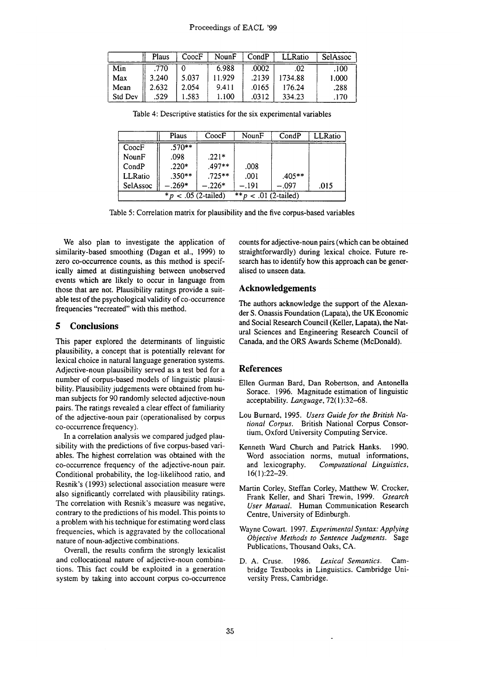|         | Plaus | CoocF | NounF  | CondP | LLRatio | SelAssoc |
|---------|-------|-------|--------|-------|---------|----------|
| Min     | .770  |       | 6.988  | .0002 | .02     | .100     |
| Max     | 3.240 | 5.037 | 11.929 | .2139 | 1734.88 | 1.000    |
| Mean    | 2.632 | 2.054 | 9.411  | .0165 | 176.24  | .288     |
| Std Dev | 529   | 1.583 | 1.100  | .0312 | 334.23  | .170     |

Table 4: Descriptive statistics for the six experimental variables

|                                                   | Plaus    | CoocF    | NounF | CondP   | LLRatio |
|---------------------------------------------------|----------|----------|-------|---------|---------|
| CoocF                                             | $.570**$ |          |       |         |         |
| NounF                                             | .098     | $.221*$  |       |         |         |
| CondP                                             | $.220*$  | $.497**$ | .008  |         |         |
| LLRatio                                           | $.350**$ | $.725**$ | .001  | .405**  |         |
| SelAssoc                                          | $-.269*$ | $-.226*$ | - 191 | $-.097$ | .015    |
| ** $p$ < .01 (2-tailed)<br>$* p < .05$ (2-tailed) |          |          |       |         |         |

Table 5: Correlation matrix for plausibility and the five corpus-based variables

We also plan to investigate the application of similarity-based smoothing (Dagan et ai., 1999) to zero co-occurrence counts, as this method is specifically aimed at distinguishing between unobserved events which are likely to occur in language from those that are not. Plausibility ratings provide a suitable test of the psychological validity of co-occurrence frequencies "recreated" with this method.

# **5 Conclusions**

This paper explored the determinants of linguistic plausibility, a concept that is potentially relevant for lexical choice in natural language generation systems. Adjective-noun plausibility served as a test bed for a number of corpus-based models of linguistic plausibility. Plausibility judgements were obtained from human subjects for 90 randomly selected adjective-noun pairs. The ratings revealed a clear effect of familiarity of the adjective-noun pair (operationalised by corpus co-occurrence frequency).

In a correlation analysis we compared judged plausibility with the predictions of five corpus-based variables. The highest correlation was obtained with the co-occurrence frequency of the adjective-noun pair. Conditional probability, the log-likelihood ratio, and Resnik's (1993) selectional association measure were also significantly correlated with plausibility ratings. The correlation with Resnik's measure was negative, contrary to the predictions of his model. This points to a problem with his technique for estimating word class frequencies, which is aggravated by the collocational nature of noun-adjective combinations.

Overall, the results confirm the strongly lexicalist and collocational nature of adjective-noun combinations. This fact could be exploited in a generation system by taking into account corpus co-occurrence counts for adjective-noun pairs (which can be obtained straightforwardly) during lexical choice. Future research has to identify how this approach can be generalised to unseen data.

## **Acknowledgements**

The authors acknowledge the support of the Alexander S. Onassis Foundation (Lapata), the UK Economic and Social Research Council (Keller, Lapata), the Natural Sciences and Engineering Research Council of Canada, and the ORS Awards Scheme (McDonald).

### **References**

- Ellen Gurman Bard, Dan Robertson, and Antonella Sorace. 1996. Magnitude estimation of linguistic acceptability. *Language,* 72(1):32-68.
- Lou Burnard, 1995. *Users Guide for the British National Corpus.* British National Corpus Consortium, Oxford University Computing Service.
- Kenneth Ward Church and Patrick Hanks. 1990. Word association norms, mutual informations, and lexicography. *Computational Linguistics,*  16(1):22-29.
- Martin Corley, Steffan Corley, Matthew W. Crocker, Frank Keller, and Shari Trewin, 1999. *Gsearch User Manual.* Human Communication Research Centre, University of Edinburgh.
- Wayne Cowart. 1997. *Experimental Syntax: Applying Objective Methods to Sentence Judgments.* Sage Publications, Thousand Oaks, CA.
- D. A. Cruse. 1986. *Lexical Semantics.* Cambridge Textbooks in Linguistics. Cambridge University Press, Cambridge.